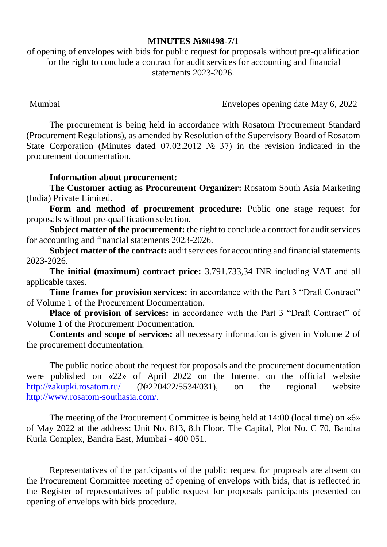## **MINUTES №80498-7/1**

of opening of envelopes with bids for public request for proposals without pre-qualification for the right to conclude a contract for audit services for accounting and financial statements 2023-2026.

Mumbai Envelopes opening date May 6, 2022

The procurement is being held in accordance with Rosatom Procurement Standard (Procurement Regulations), as amended by Resolution of the Supervisory Board of Rosatom State Corporation (Minutes dated 07.02.2012 № 37) in the revision indicated in the procurement documentation.

## **Information about procurement:**

**The Customer acting as Procurement Organizer:** Rosatom South Asia Marketing (India) Private Limited.

**Form and method of procurement procedure:** Public one stage request for proposals without pre-qualification selection.

**Subject matter of the procurement:** the right to conclude a contract for audit services for accounting and financial statements 2023-2026.

**Subject matter of the contract:** audit services for accounting and financial statements 2023-2026.

**The initial (maximum) contract price:** 3.791.733,34 INR including VAT and all applicable taxes.

**Time frames for provision services:** in accordance with the Part 3 "Draft Contract" of Volume 1 of the Procurement Documentation.

**Place of provision of services:** in accordance with the Part 3 "Draft Contract" of Volume 1 of the Procurement Documentation.

**Contents and scope of services:** all necessary information is given in Volume 2 of the procurement documentation.

The public notice about the request for proposals and the procurement documentation werepublished on «22» of April 2022 on the Internet on the official website <http://zakupki.rosatom.ru/> (№220422/5534/031), on the regional website http://www.rosatom-southasia.com/.

The meeting of the Procurement Committee is being held at 14:00 (local time) on «6» of May 2022 at the address: Unit No. 813, 8th Floor, The Capital, Plot No. C 70, Bandra Kurla Complex, Bandra East, Mumbai - 400 051.

Representatives of the participants of the public request for proposals are absent on the Procurement Committee meeting of opening of envelops with bids, that is reflected in the Register of representatives of public request for proposals participants presented on opening of envelops with bids procedure.